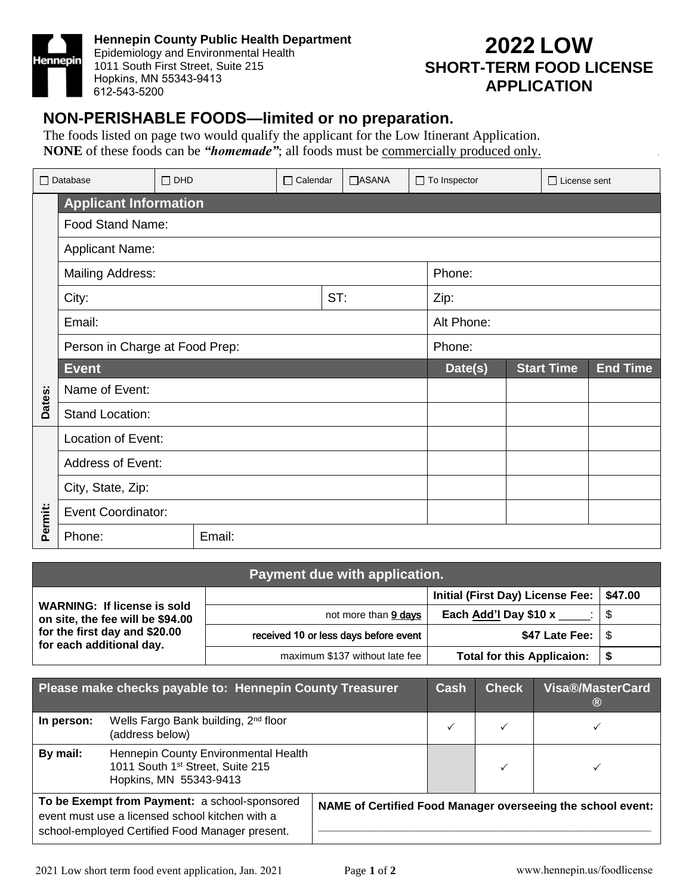

**Hennepin County Public Health Department**  Epidemiology and Environmental Health 1011 South First Street, Suite 215 Hopkins, MN 55343-9413 612-543-5200

### **2022 LOW SHORT-TERM FOOD LICENSE APPLICATION**

#### **NON-PERISHABLE FOODS—limited or no preparation.**

The foods listed on page two would qualify the applicant for the Low Itinerant Application. **NONE** of these foods can be *"homemade"*; all foods must be commercially produced only.

| $\Box$ Database              |                                | $\Box$ DHD |  | $\Box$ Calendar | <b>TASANA</b> |            | $\Box$ To Inspector |                   | $\Box$ License sent |  |
|------------------------------|--------------------------------|------------|--|-----------------|---------------|------------|---------------------|-------------------|---------------------|--|
| <b>Applicant Information</b> |                                |            |  |                 |               |            |                     |                   |                     |  |
|                              | Food Stand Name:               |            |  |                 |               |            |                     |                   |                     |  |
|                              | <b>Applicant Name:</b>         |            |  |                 |               |            |                     |                   |                     |  |
|                              | <b>Mailing Address:</b>        |            |  |                 |               | Phone:     |                     |                   |                     |  |
|                              | ST:<br>City:                   |            |  |                 |               |            | Zip:                |                   |                     |  |
|                              | Email:                         |            |  |                 |               | Alt Phone: |                     |                   |                     |  |
|                              | Person in Charge at Food Prep: |            |  |                 |               | Phone:     |                     |                   |                     |  |
|                              | <b>Event</b>                   |            |  |                 |               | Date(s)    |                     | <b>Start Time</b> | <b>End Time</b>     |  |
| Dates:                       | Name of Event:                 |            |  |                 |               |            |                     |                   |                     |  |
|                              | Stand Location:                |            |  |                 |               |            |                     |                   |                     |  |
|                              | Location of Event:             |            |  |                 |               |            |                     |                   |                     |  |
| Permit:                      | Address of Event:              |            |  |                 |               |            |                     |                   |                     |  |
|                              | City, State, Zip:              |            |  |                 |               |            |                     |                   |                     |  |
|                              | <b>Event Coordinator:</b>      |            |  |                 |               |            |                     |                   |                     |  |
|                              | Phone:                         | Email:     |  |                 |               |            |                     |                   |                     |  |

| Payment due with application.                                          |                                       |                                   |         |  |  |  |  |  |
|------------------------------------------------------------------------|---------------------------------------|-----------------------------------|---------|--|--|--|--|--|
|                                                                        |                                       | Initial (First Day) License Fee:  | \$47.00 |  |  |  |  |  |
| <b>WARNING: If license is sold</b><br>on site, the fee will be \$94.00 | not more than 9 days                  | Each Add'l Day \$10 x             |         |  |  |  |  |  |
| for the first day and \$20.00<br>for each additional day.              | received 10 or less days before event | \$47 Late Fee: $\frac{1}{3}$      |         |  |  |  |  |  |
|                                                                        | maximum \$137 without late fee        | <b>Total for this Applicaion:</b> |         |  |  |  |  |  |

|            | Please make checks payable to: Hennepin County Treasurer                                                                                            | Cash | <b>Check</b> | <b>Visa®/MasterCard</b><br>$\circledR$                      |
|------------|-----------------------------------------------------------------------------------------------------------------------------------------------------|------|--------------|-------------------------------------------------------------|
| In person: | Wells Fargo Bank building, 2 <sup>nd</sup> floor<br>(address below)                                                                                 |      |              |                                                             |
| By mail:   | Hennepin County Environmental Health<br>1011 South 1st Street, Suite 215<br>Hopkins, MN 55343-9413                                                  |      |              |                                                             |
|            | To be Exempt from Payment: a school-sponsored<br>event must use a licensed school kitchen with a<br>school-employed Certified Food Manager present. |      |              | NAME of Certified Food Manager overseeing the school event: |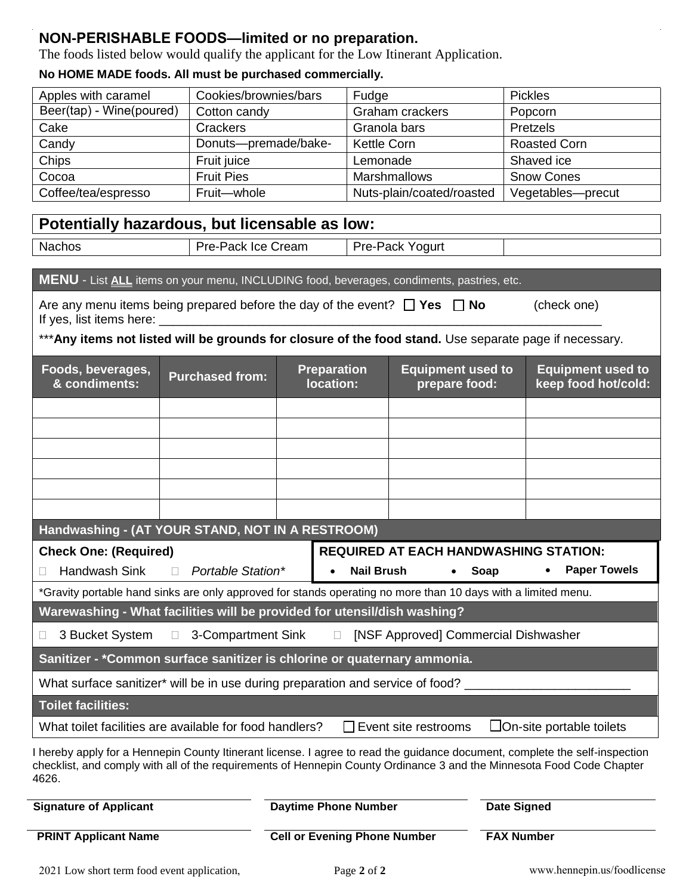#### **NON-PERISHABLE FOODS—limited or no preparation.**

The foods listed below would qualify the applicant for the Low Itinerant Application.

#### **No HOME MADE foods. All must be purchased commercially.**

| Apples with caramel      | Cookies/brownies/bars | Fudge                     | <b>Pickles</b>      |
|--------------------------|-----------------------|---------------------------|---------------------|
| Beer(tap) - Wine(poured) | Cotton candy          | Graham crackers           | Popcorn             |
| Cake                     | Crackers              | Granola bars              | Pretzels            |
| Candy                    | Donuts-premade/bake-  | <b>Kettle Corn</b>        | <b>Roasted Corn</b> |
| Chips                    | Fruit juice           | Lemonade                  | Shaved ice          |
| Cocoa                    | <b>Fruit Pies</b>     | <b>Marshmallows</b>       | <b>Snow Cones</b>   |
| Coffee/tea/espresso      | Fruit-whole           | Nuts-plain/coated/roasted | Vegetables-precut   |

### **Potentially hazardous, but licensable as low:**

| Nachos. | ′ <i>∵</i> ream<br>.<br>-ICC.<br>. .<br>avr<br>◡<br>____ | oqurt<br>∪r∆.<br>– ∟~<br>$\sim$<br>aw<br>. |  |
|---------|----------------------------------------------------------|--------------------------------------------|--|

#### **MENU** - List **ALL** items on your menu, INCLUDING food, beverages, condiments, pastries, etc.

| Are any menu items being prepared before the day of the event? $\Box$ Yes $\Box$ No | (check one) |
|-------------------------------------------------------------------------------------|-------------|
| If yes, list items here:                                                            |             |

## \*\*\***Any items not listed will be grounds for closure of the food stand.** Use separate page if necessary.

| Foods, beverages,<br>& condiments:                                                                                                                                                                                                                   | <b>Purchased from:</b>                                                          |  | <b>Preparation</b><br>location: | <b>Equipment used to</b><br>prepare food: |  | <b>Equipment used to</b><br>keep food hot/cold: |  |
|------------------------------------------------------------------------------------------------------------------------------------------------------------------------------------------------------------------------------------------------------|---------------------------------------------------------------------------------|--|---------------------------------|-------------------------------------------|--|-------------------------------------------------|--|
|                                                                                                                                                                                                                                                      |                                                                                 |  |                                 |                                           |  |                                                 |  |
|                                                                                                                                                                                                                                                      |                                                                                 |  |                                 |                                           |  |                                                 |  |
|                                                                                                                                                                                                                                                      |                                                                                 |  |                                 |                                           |  |                                                 |  |
|                                                                                                                                                                                                                                                      |                                                                                 |  |                                 |                                           |  |                                                 |  |
|                                                                                                                                                                                                                                                      |                                                                                 |  |                                 |                                           |  |                                                 |  |
|                                                                                                                                                                                                                                                      |                                                                                 |  |                                 |                                           |  |                                                 |  |
| Handwashing - (AT YOUR STAND, NOT IN A RESTROOM)                                                                                                                                                                                                     |                                                                                 |  |                                 |                                           |  |                                                 |  |
|                                                                                                                                                                                                                                                      | <b>REQUIRED AT EACH HANDWASHING STATION:</b><br><b>Check One: (Required)</b>    |  |                                 |                                           |  |                                                 |  |
| Handwash Sink                                                                                                                                                                                                                                        | <b>Paper Towels</b><br>Portable Station*<br><b>Nail Brush</b><br>Soap<br>$\Box$ |  |                                 |                                           |  |                                                 |  |
| *Gravity portable hand sinks are only approved for stands operating no more than 10 days with a limited menu.                                                                                                                                        |                                                                                 |  |                                 |                                           |  |                                                 |  |
| Warewashing - What facilities will be provided for utensil/dish washing?                                                                                                                                                                             |                                                                                 |  |                                 |                                           |  |                                                 |  |
| 3 Bucket System<br>П                                                                                                                                                                                                                                 | 3-Compartment Sink<br>[NSF Approved] Commercial Dishwasher<br>$\Box$<br>$\Box$  |  |                                 |                                           |  |                                                 |  |
| Sanitizer - *Common surface sanitizer is chlorine or quaternary ammonia.                                                                                                                                                                             |                                                                                 |  |                                 |                                           |  |                                                 |  |
| What surface sanitizer* will be in use during preparation and service of food?                                                                                                                                                                       |                                                                                 |  |                                 |                                           |  |                                                 |  |
| <b>Toilet facilities:</b>                                                                                                                                                                                                                            |                                                                                 |  |                                 |                                           |  |                                                 |  |
| $\Box$ On-site portable toilets<br>What toilet facilities are available for food handlers?<br>Event site restrooms                                                                                                                                   |                                                                                 |  |                                 |                                           |  |                                                 |  |
| I hereby apply for a Hennepin County Itinerant license. I agree to read the guidance document, complete the self-inspection<br>checklist, and comply with all of the requirements of Hennepin County Ordinance 3 and the Minnesota Food Code Chapter |                                                                                 |  |                                 |                                           |  |                                                 |  |

4626.

| <b>Signature of Applicant</b> | <b>Daytime Phone Number</b>         | <b>Date Signed</b> |
|-------------------------------|-------------------------------------|--------------------|
| <b>PRINT Applicant Name</b>   | <b>Cell or Evening Phone Number</b> | <b>FAX Number</b>  |